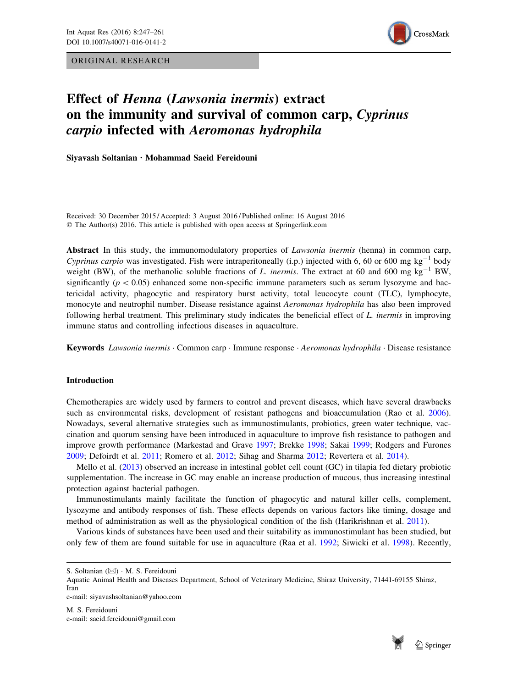ORIGINAL RESEARCH



# Effect of Henna (Lawsonia inermis) extract on the immunity and survival of common carp, Cyprinus carpio infected with Aeromonas hydrophila

Siyavash Soltanian . Mohammad Saeid Fereidouni

Received: 30 December 2015 / Accepted: 3 August 2016 / Published online: 16 August 2016 © The Author(s) 2016. This article is published with open access at Springerlink.com

Abstract In this study, the immunomodulatory properties of *Lawsonia inermis* (henna) in common carp, Cyprinus carpio was investigated. Fish were intraperitoneally (i.p.) injected with 6, 60 or 600 mg kg<sup>-1</sup> body weight (BW), of the methanolic soluble fractions of L. inermis. The extract at 60 and 600 mg  $kg^{-1}$  BW, significantly ( $p<0.05$ ) enhanced some non-specific immune parameters such as serum lysozyme and bactericidal activity, phagocytic and respiratory burst activity, total leucocyte count (TLC), lymphocyte, monocyte and neutrophil number. Disease resistance against Aeromonas hydrophila has also been improved following herbal treatment. This preliminary study indicates the beneficial effect of L. inermis in improving immune status and controlling infectious diseases in aquaculture.

Keywords Lawsonia inermis · Common carp · Immune response · Aeromonas hydrophila · Disease resistance

## Introduction

Chemotherapies are widely used by farmers to control and prevent diseases, which have several drawbacks such as environmental risks, development of resistant pathogens and bioaccumulation (Rao et al. [2006\)](#page-13-0). Nowadays, several alternative strategies such as immunostimulants, probiotics, green water technique, vaccination and quorum sensing have been introduced in aquaculture to improve fish resistance to pathogen and improve growth performance (Markestad and Grave [1997;](#page-12-0) Brekke [1998](#page-12-0); Sakai [1999](#page-13-0); Rodgers and Furones [2009](#page-13-0); Defoirdt et al. [2011;](#page-12-0) Romero et al. [2012;](#page-13-0) Sihag and Sharma [2012;](#page-13-0) Revertera et al. [2014\)](#page-13-0).

Mello et al. ([2013\)](#page-13-0) observed an increase in intestinal goblet cell count (GC) in tilapia fed dietary probiotic supplementation. The increase in GC may enable an increase production of mucous, thus increasing intestinal protection against bacterial pathogen.

Immunostimulants mainly facilitate the function of phagocytic and natural killer cells, complement, lysozyme and antibody responses of fish. These effects depends on various factors like timing, dosage and method of administration as well as the physiological condition of the fish (Harikrishnan et al. [2011](#page-12-0)).

Various kinds of substances have been used and their suitability as immunostimulant has been studied, but only few of them are found suitable for use in aquaculture (Raa et al. [1992](#page-13-0); Siwicki et al. [1998](#page-14-0)). Recently,



S. Soltanian (&) - M. S. Fereidouni

Aquatic Animal Health and Diseases Department, School of Veterinary Medicine, Shiraz University, 71441-69155 Shiraz, Iran e-mail: siyavashsoltanian@yahoo.com

M. S. Fereidouni e-mail: saeid.fereidouni@gmail.com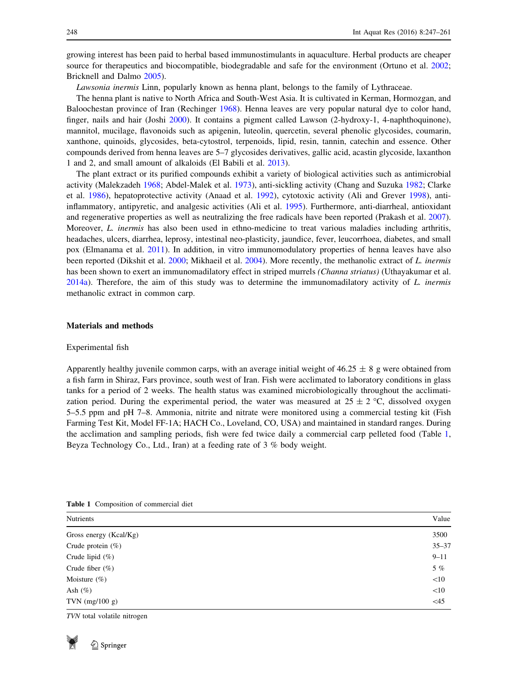growing interest has been paid to herbal based immunostimulants in aquaculture. Herbal products are cheaper source for therapeutics and biocompatible, biodegradable and safe for the environment (Ortuno et al. [2002;](#page-13-0) Bricknell and Dalmo [2005](#page-12-0)).

Lawsonia inermis Linn, popularly known as henna plant, belongs to the family of Lythraceae.

The henna plant is native to North Africa and South-West Asia. It is cultivated in Kerman, Hormozgan, and Baloochestan province of Iran (Rechinger [1968](#page-13-0)). Henna leaves are very popular natural dye to color hand, finger, nails and hair (Joshi [2000\)](#page-12-0). It contains a pigment called Lawson (2-hydroxy-1, 4-naphthoquinone), mannitol, mucilage, flavonoids such as apigenin, luteolin, quercetin, several phenolic glycosides, coumarin, xanthone, quinoids, glycosides, beta-cytostrol, terpenoids, lipid, resin, tannin, catechin and essence. Other compounds derived from henna leaves are 5–7 glycosides derivatives, gallic acid, acastin glycoside, laxanthon 1 and 2, and small amount of alkaloids (El Babili et al. [2013\)](#page-12-0).

The plant extract or its purified compounds exhibit a variety of biological activities such as antimicrobial activity (Malekzadeh [1968;](#page-12-0) Abdel-Malek et al. [1973\)](#page-11-0), anti-sickling activity (Chang and Suzuka [1982](#page-12-0); Clarke et al. [1986\)](#page-12-0), hepatoprotective activity (Anaad et al. [1992\)](#page-11-0), cytotoxic activity (Ali and Grever [1998\)](#page-11-0), antiinflammatory, antipyretic, and analgesic activities (Ali et al. [1995](#page-11-0)). Furthermore, anti-diarrheal, antioxidant and regenerative properties as well as neutralizing the free radicals have been reported (Prakash et al. [2007\)](#page-13-0). Moreover, L. inermis has also been used in ethno-medicine to treat various maladies including arthritis, headaches, ulcers, diarrhea, leprosy, intestinal neo-plasticity, jaundice, fever, leucorrhoea, diabetes, and small pox (Elmanama et al. [2011\)](#page-12-0). In addition, in vitro immunomodulatory properties of henna leaves have also been reported (Dikshit et al. [2000;](#page-12-0) Mikhaeil et al. [2004\)](#page-13-0). More recently, the methanolic extract of L. inermis has been shown to exert an immunomadilatory effect in striped murrels *(Channa striatus)* (Uthayakumar et al. [2014a\)](#page-14-0). Therefore, the aim of this study was to determine the immunomadilatory activity of L. inermis methanolic extract in common carp.

### Materials and methods

#### Experimental fish

Apparently healthy juvenile common carps, with an average initial weight of  $46.25 \pm 8$  g were obtained from a fish farm in Shiraz, Fars province, south west of Iran. Fish were acclimated to laboratory conditions in glass tanks for a period of 2 weeks. The health status was examined microbiologically throughout the acclimatization period. During the experimental period, the water was measured at  $25 \pm 2$  °C, dissolved oxygen 5–5.5 ppm and pH 7–8. Ammonia, nitrite and nitrate were monitored using a commercial testing kit (Fish Farming Test Kit, Model FF-1A; HACH Co., Loveland, CO, USA) and maintained in standard ranges. During the acclimation and sampling periods, fish were fed twice daily a commercial carp pelleted food (Table 1, Beyza Technology Co., Ltd., Iran) at a feeding rate of 3 % body weight.

| Nutrients                   | Value     |
|-----------------------------|-----------|
| Gross energy (Kcal/Kg)      | 3500      |
| Crude protein $(\%)$        | $35 - 37$ |
| Crude lipid $(\%)$          | $9 - 11$  |
| Crude fiber $(\%)$          | $5\%$     |
| Moisture $(\% )$            | <10       |
| Ash $(\%)$                  | <10       |
| TVN $(mg/100 g)$            | $<$ 45    |
| TVN total volatile nitrogen |           |

Table 1 Composition of commercial diet

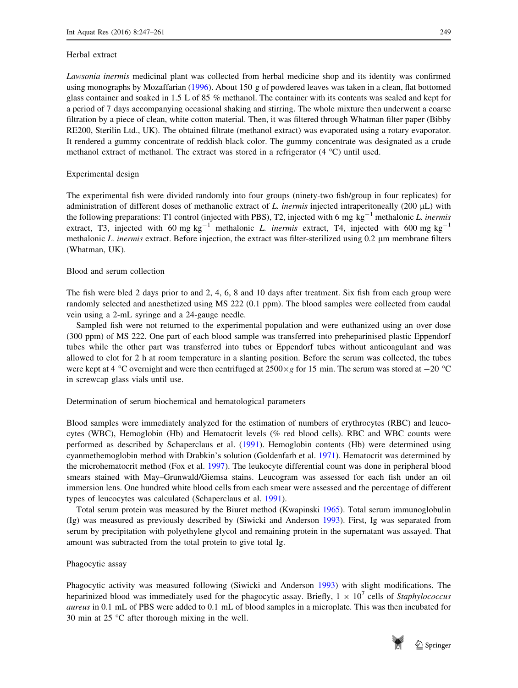#### Herbal extract

Lawsonia inermis medicinal plant was collected from herbal medicine shop and its identity was confirmed using monographs by Mozaffarian ([1996\)](#page-13-0). About 150 g of powdered leaves was taken in a clean, flat bottomed glass container and soaked in 1.5 L of 85 % methanol. The container with its contents was sealed and kept for a period of 7 days accompanying occasional shaking and stirring. The whole mixture then underwent a coarse filtration by a piece of clean, white cotton material. Then, it was filtered through Whatman filter paper (Bibby RE200, Sterilin Ltd., UK). The obtained filtrate (methanol extract) was evaporated using a rotary evaporator. It rendered a gummy concentrate of reddish black color. The gummy concentrate was designated as a crude methanol extract of methanol. The extract was stored in a refrigerator  $(4 °C)$  until used.

## Experimental design

The experimental fish were divided randomly into four groups (ninety-two fish/group in four replicates) for administration of different doses of methanolic extract of L. inermis injected intraperitoneally (200  $\mu$ L) with the following preparations: T1 control (injected with PBS), T2, injected with 6 mg kg<sup>-1</sup> methalonic L. inermis extract, T3, injected with 60 mg  $kg^{-1}$  methalonic *L. inermis* extract, T4, injected with 600 mg  $kg^{-1}$ methalonic L. inermis extract. Before injection, the extract was filter-sterilized using 0.2 µm membrane filters (Whatman, UK).

## Blood and serum collection

The fish were bled 2 days prior to and 2, 4, 6, 8 and 10 days after treatment. Six fish from each group were randomly selected and anesthetized using MS 222 (0.1 ppm). The blood samples were collected from caudal vein using a 2-mL syringe and a 24-gauge needle.

Sampled fish were not returned to the experimental population and were euthanized using an over dose (300 ppm) of MS 222. One part of each blood sample was transferred into preheparinised plastic Eppendorf tubes while the other part was transferred into tubes or Eppendorf tubes without anticoagulant and was allowed to clot for 2 h at room temperature in a slanting position. Before the serum was collected, the tubes were kept at 4 °C overnight and were then centrifuged at  $2500 \times g$  for 15 min. The serum was stored at  $-20$  °C in screwcap glass vials until use.

#### Determination of serum biochemical and hematological parameters

Blood samples were immediately analyzed for the estimation of numbers of erythrocytes (RBC) and leucocytes (WBC), Hemoglobin (Hb) and Hematocrit levels (% red blood cells). RBC and WBC counts were performed as described by Schaperclaus et al. [\(1991](#page-13-0)). Hemoglobin contents (Hb) were determined using cyanmethemoglobin method with Drabkin's solution (Goldenfarb et al. [1971](#page-12-0)). Hematocrit was determined by the microhematocrit method (Fox et al. [1997\)](#page-12-0). The leukocyte differential count was done in peripheral blood smears stained with May–Grunwald/Giemsa stains. Leucogram was assessed for each fish under an oil immersion lens. One hundred white blood cells from each smear were assessed and the percentage of different types of leucocytes was calculated (Schaperclaus et al. [1991](#page-13-0)).

Total serum protein was measured by the Biuret method (Kwapinski [1965](#page-12-0)). Total serum immunoglobulin (Ig) was measured as previously described by (Siwicki and Anderson [1993](#page-13-0)). First, Ig was separated from serum by precipitation with polyethylene glycol and remaining protein in the supernatant was assayed. That amount was subtracted from the total protein to give total Ig.

#### Phagocytic assay

Phagocytic activity was measured following (Siwicki and Anderson [1993\)](#page-13-0) with slight modifications. The heparinized blood was immediately used for the phagocytic assay. Briefly,  $1 \times 10^{7}$  cells of *Staphylococcus* aureus in 0.1 mL of PBS were added to 0.1 mL of blood samples in a microplate. This was then incubated for 30 min at  $25 \text{ °C}$  after thorough mixing in the well.



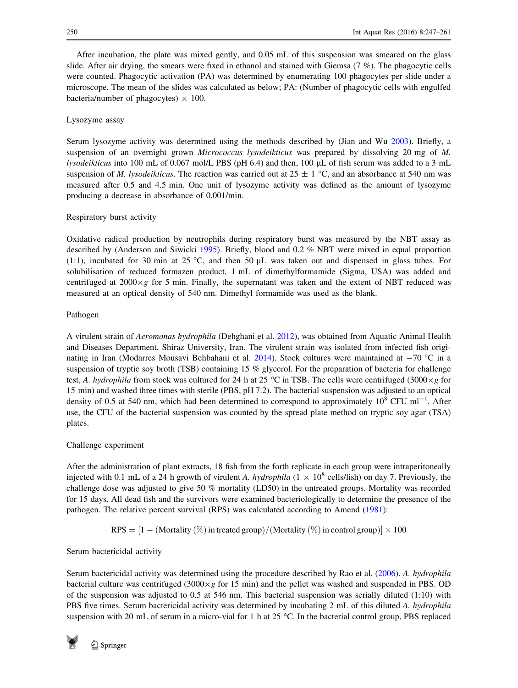After incubation, the plate was mixed gently, and 0.05 mL of this suspension was smeared on the glass slide. After air drying, the smears were fixed in ethanol and stained with Giemsa (7 %). The phagocytic cells were counted. Phagocytic activation (PA) was determined by enumerating 100 phagocytes per slide under a microscope. The mean of the slides was calculated as below; PA: (Number of phagocytic cells with engulfed bacteria/number of phagocytes)  $\times$  100.

# Lysozyme assay

Serum lysozyme activity was determined using the methods described by (Jian and Wu [2003\)](#page-12-0). Briefly, a suspension of an overnight grown *Micrococcus lysodeikticus* was prepared by dissolving 20 mg of M. lysodeikticus into 100 mL of 0.067 mol/L PBS (pH 6.4) and then, 100 lL of fish serum was added to a 3 mL suspension of *M. lysodeikticus*. The reaction was carried out at  $25 \pm 1$  °C, and an absorbance at 540 nm was measured after 0.5 and 4.5 min. One unit of lysozyme activity was defined as the amount of lysozyme producing a decrease in absorbance of 0.001/min.

## Respiratory burst activity

Oxidative radical production by neutrophils during respiratory burst was measured by the NBT assay as described by (Anderson and Siwicki [1995\)](#page-11-0). Briefly, blood and 0.2 % NBT were mixed in equal proportion (1:1), incubated for 30 min at 25 °C, and then 50  $\mu$ L was taken out and dispensed in glass tubes. For solubilisation of reduced formazen product, 1 mL of dimethylformamide (Sigma, USA) was added and centrifuged at  $2000 \times g$  for 5 min. Finally, the supernatant was taken and the extent of NBT reduced was measured at an optical density of 540 nm. Dimethyl formamide was used as the blank.

## Pathogen

A virulent strain of Aeromonas hydrophila (Dehghani et al. [2012\)](#page-12-0), was obtained from Aquatic Animal Health and Diseases Department, Shiraz University, Iran. The virulent strain was isolated from infected fish origi-nating in Iran (Modarres Mousavi Behbahani et al. [2014\)](#page-13-0). Stock cultures were maintained at  $-70$  °C in a suspension of tryptic soy broth (TSB) containing 15 % glycerol. For the preparation of bacteria for challenge test, A. hydrophila from stock was cultured for 24 h at 25 °C in TSB. The cells were centrifuged (3000 $\times$ g for 15 min) and washed three times with sterile (PBS, pH 7.2). The bacterial suspension was adjusted to an optical density of 0.5 at 540 nm, which had been determined to correspond to approximately  $10^8$  CFU ml<sup>-1</sup>. After use, the CFU of the bacterial suspension was counted by the spread plate method on tryptic soy agar (TSA) plates.

# Challenge experiment

After the administration of plant extracts, 18 fish from the forth replicate in each group were intraperitoneally injected with 0.1 mL of a 24 h growth of virulent A. hydrophila ( $1 \times 10^8$  cells/fish) on day 7. Previously, the challenge dose was adjusted to give 50 % mortality (LD50) in the untreated groups. Mortality was recorded for 15 days. All dead fish and the survivors were examined bacteriologically to determine the presence of the pathogen. The relative percent survival (RPS) was calculated according to Amend [\(1981](#page-11-0)):

$$
RPS = [1 - (Mortality (\%) in treated group) / (Mortality (\%) in control group)] \times 100
$$

## Serum bactericidal activity

Serum bactericidal activity was determined using the procedure described by Rao et al. ([2006\)](#page-13-0). A. hydrophila bacterial culture was centrifuged (3000 $\times$ g for 15 min) and the pellet was washed and suspended in PBS. OD of the suspension was adjusted to 0.5 at 546 nm. This bacterial suspension was serially diluted (1:10) with PBS five times. Serum bactericidal activity was determined by incubating 2 mL of this diluted A. hydrophila suspension with 20 mL of serum in a micro-vial for 1 h at 25  $^{\circ}$ C. In the bacterial control group, PBS replaced

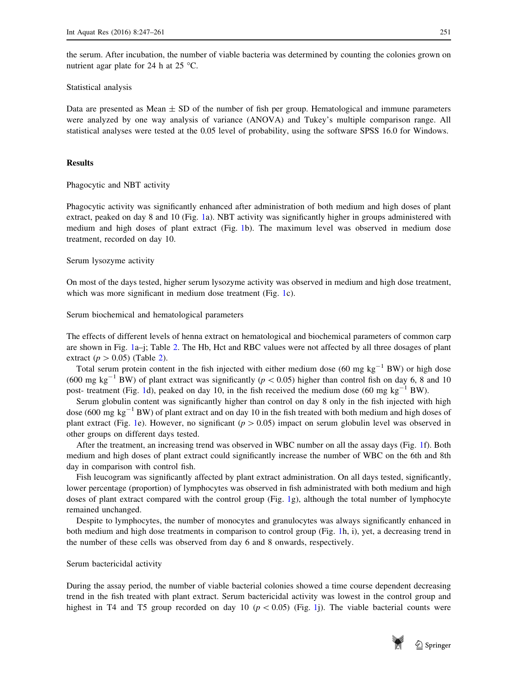the serum. After incubation, the number of viable bacteria was determined by counting the colonies grown on nutrient agar plate for 24 h at 25  $^{\circ}$ C.

### Statistical analysis

Data are presented as Mean  $\pm$  SD of the number of fish per group. Hematological and immune parameters were analyzed by one way analysis of variance (ANOVA) and Tukey's multiple comparison range. All statistical analyses were tested at the 0.05 level of probability, using the software SPSS 16.0 for Windows.

## Results

Phagocytic and NBT activity

Phagocytic activity was significantly enhanced after administration of both medium and high doses of plant extract, peaked on day 8 and 10 (Fig. [1a](#page-5-0)). NBT activity was significantly higher in groups administered with medium and high doses of plant extract (Fig. [1b](#page-5-0)). The maximum level was observed in medium dose treatment, recorded on day 10.

## Serum lysozyme activity

On most of the days tested, higher serum lysozyme activity was observed in medium and high dose treatment, which was more significant in medium dose treatment (Fig. [1c](#page-5-0)).

Serum biochemical and hematological parameters

The effects of different levels of henna extract on hematological and biochemical parameters of common carp are shown in Fig. [1](#page-5-0)a–j; Table [2](#page-9-0). The Hb, Hct and RBC values were not affected by all three dosages of plant extract ( $p > 0.05$ ) (Table [2](#page-9-0)).

Total serum protein content in the fish injected with either medium dose (60 mg  $kg^{-1}$  BW) or high dose (600 mg kg<sup>-1</sup> BW) of plant extract was significantly ( $p < 0.05$ ) higher than control fish on day 6, 8 and 10 post- treatment (Fig. [1](#page-5-0)d), peaked on day 10, in the fish received the medium dose (60 mg  $kg^{-1}$  BW).

Serum globulin content was significantly higher than control on day 8 only in the fish injected with high dose (600 mg  $kg^{-1}$  BW) of plant extract and on day 10 in the fish treated with both medium and high doses of plant extract (Fig. [1e](#page-5-0)). However, no significant ( $p > 0.05$ ) impact on serum globulin level was observed in other groups on different days tested.

After the treatment, an increasing trend was observed in WBC number on all the assay days (Fig. [1f](#page-5-0)). Both medium and high doses of plant extract could significantly increase the number of WBC on the 6th and 8th day in comparison with control fish.

Fish leucogram was significantly affected by plant extract administration. On all days tested, significantly, lower percentage (proportion) of lymphocytes was observed in fish administrated with both medium and high doses of plant extract compared with the control group (Fig. [1](#page-5-0)g), although the total number of lymphocyte remained unchanged.

Despite to lymphocytes, the number of monocytes and granulocytes was always significantly enhanced in both medium and high dose treatments in comparison to control group (Fig. [1](#page-5-0)h, i), yet, a decreasing trend in the number of these cells was observed from day 6 and 8 onwards, respectively.

## Serum bactericidal activity

During the assay period, the number of viable bacterial colonies showed a time course dependent decreasing trend in the fish treated with plant extract. Serum bactericidal activity was lowest in the control group and highest in T4 and T5 group recorded on day 10 ( $p < 0.05$ ) (Fig. [1j](#page-5-0)). The viable bacterial counts were

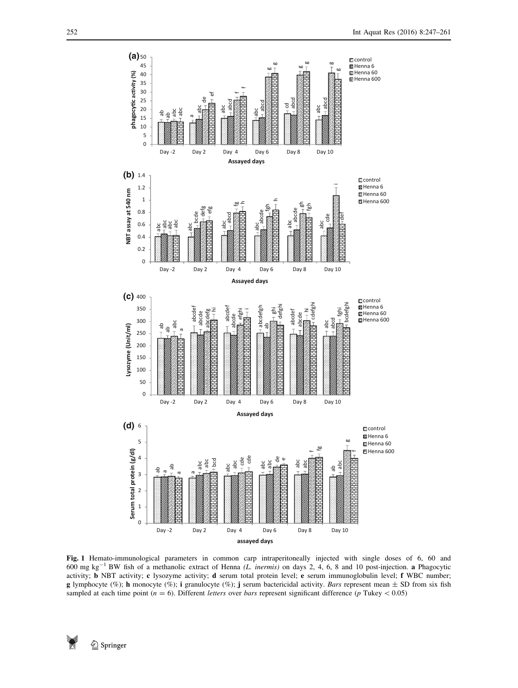<span id="page-5-0"></span>

Fig. 1 Hemato-immunological parameters in common carp intraperitoneally injected with single doses of 6, 60 and  $600$  mg kg<sup>-1</sup> BW fish of a methanolic extract of Henna (*L. inermis*) on days 2, 4, 6, 8 and 10 post-injection. a Phagocytic activity; b NBT activity; c lysozyme activity; d serum total protein level; e serum immunoglobulin level; f WBC number; g lymphocyte (%); h monocyte (%); i granulocyte (%); j serum bactericidal activity. Bars represent mean  $\pm$  SD from six fish sampled at each time point ( $n = 6$ ). Different *letters* over *bars* represent significant difference ( $p$  Tukey < 0.05)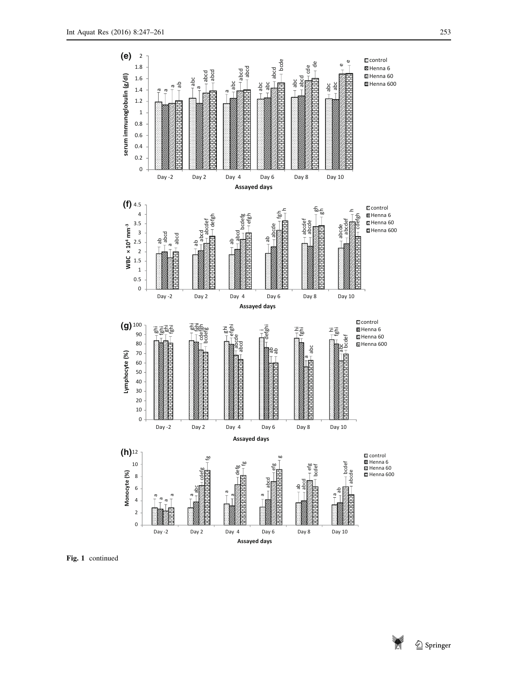

Fig. 1 continued

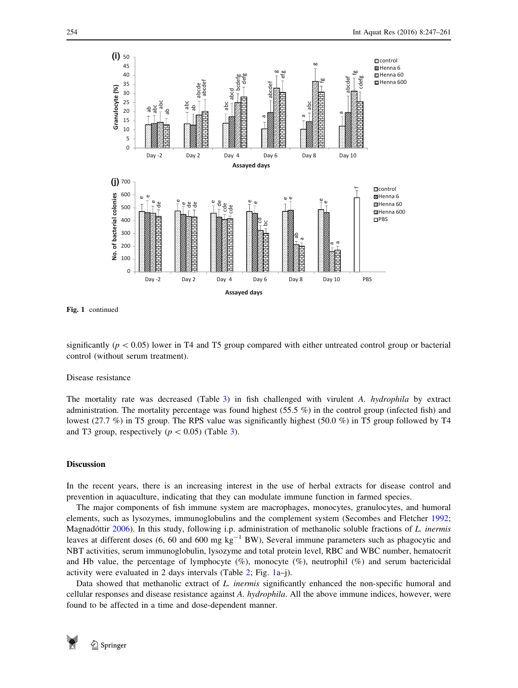

Fig. 1 continued

significantly ( $p < 0.05$ ) lower in T4 and T5 group compared with either untreated control group or bacterial control (without serum treatment).

#### Disease resistance

The mortality rate was decreased (Table [3](#page-9-0)) in fish challenged with virulent A. hydrophila by extract administration. The mortality percentage was found highest (55.5 %) in the control group (infected fish) and lowest (27.7 %) in T5 group. The RPS value was significantly highest (50.0 %) in T5 group followed by T4 and T3 group, respectively ( $p < 0.05$ ) (Table [3\)](#page-9-0).

## Discussion

In the recent years, there is an increasing interest in the use of herbal extracts for disease control and prevention in aquaculture, indicating that they can modulate immune function in farmed species.

The major components of fish immune system are macrophages, monocytes, granulocytes, and humoral elements, such as lysozymes, immunoglobulins and the complement system (Secombes and Fletcher [1992;](#page-13-0) Magnadóttir [2006](#page-12-0)). In this study, following i.p. administration of methanolic soluble fractions of L. inermis leaves at different doses (6, 60 and 600 mg  $kg^{-1}$  BW), Several immune parameters such as phagocytic and NBT activities, serum immunoglobulin, lysozyme and total protein level, RBC and WBC number, hematocrit and Hb value, the percentage of lymphocyte (%), monocyte (%), neutrophil (%) and serum bactericidal activity were evaluated in 2 days intervals (Table [2;](#page-9-0) Fig. [1](#page-5-0)a–j).

Data showed that methanolic extract of L. inermis significantly enhanced the non-specific humoral and cellular responses and disease resistance against A. hydrophila. All the above immune indices, however, were

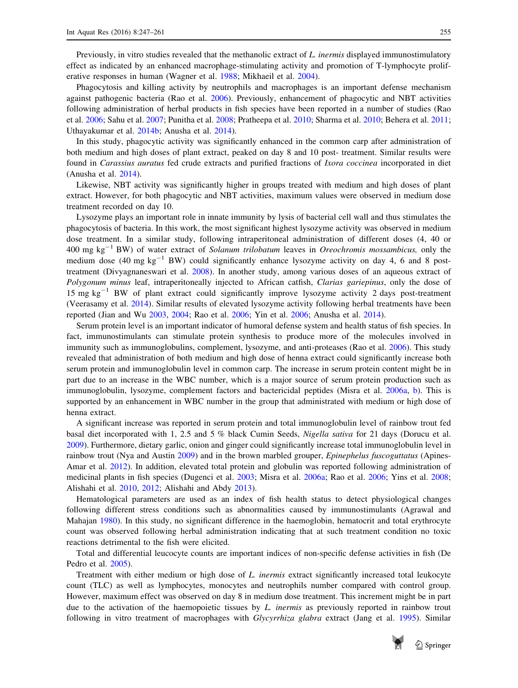Previously, in vitro studies revealed that the methanolic extract of L, *inermis* displayed immunostimulatory effect as indicated by an enhanced macrophage-stimulating activity and promotion of T-lymphocyte proliferative responses in human (Wagner et al. [1988](#page-14-0); Mikhaeil et al. [2004](#page-13-0)).

Phagocytosis and killing activity by neutrophils and macrophages is an important defense mechanism against pathogenic bacteria (Rao et al. [2006](#page-13-0)). Previously, enhancement of phagocytic and NBT activities following administration of herbal products in fish species have been reported in a number of studies (Rao et al. [2006](#page-13-0); Sahu et al. [2007](#page-13-0); Punitha et al. [2008](#page-13-0); Pratheepa et al. [2010;](#page-13-0) Sharma et al. [2010;](#page-13-0) Behera et al. [2011;](#page-11-0) Uthayakumar et al. [2014b](#page-14-0); Anusha et al. [2014\)](#page-11-0).

In this study, phagocytic activity was significantly enhanced in the common carp after administration of both medium and high doses of plant extract, peaked on day 8 and 10 post- treatment. Similar results were found in Carassius auratus fed crude extracts and purified fractions of Ixora coccinea incorporated in diet (Anusha et al. [2014](#page-11-0)).

Likewise, NBT activity was significantly higher in groups treated with medium and high doses of plant extract. However, for both phagocytic and NBT activities, maximum values were observed in medium dose treatment recorded on day 10.

Lysozyme plays an important role in innate immunity by lysis of bacterial cell wall and thus stimulates the phagocytosis of bacteria. In this work, the most significant highest lysozyme activity was observed in medium dose treatment. In a similar study, following intraperitoneal administration of different doses (4, 40 or 400 mg kg<sup>-1</sup> BW) of water extract of *Solanum trilobatum* leaves in *Oreochromis mossambicus*, only the medium dose (40 mg  $kg^{-1}$  BW) could significantly enhance lysozyme activity on day 4, 6 and 8 posttreatment (Divyagnaneswari et al. [2008\)](#page-12-0). In another study, among various doses of an aqueous extract of Polygonum minus leaf, intraperitoneally injected to African catfish, Clarias gariepinus, only the dose of 15 mg  $kg^{-1}$  BW of plant extract could significantly improve lysozyme activity 2 days post-treatment (Veerasamy et al. [2014\)](#page-14-0). Similar results of elevated lysozyme activity following herbal treatments have been reported (Jian and Wu [2003,](#page-12-0) [2004](#page-12-0); Rao et al. [2006;](#page-13-0) Yin et al. [2006;](#page-14-0) Anusha et al. [2014](#page-11-0)).

Serum protein level is an important indicator of humoral defense system and health status of fish species. In fact, immunostimulants can stimulate protein synthesis to produce more of the molecules involved in immunity such as immunoglobulins, complement, lysozyme, and anti-proteases (Rao et al. [2006\)](#page-13-0). This study revealed that administration of both medium and high dose of henna extract could significantly increase both serum protein and immunoglobulin level in common carp. The increase in serum protein content might be in part due to an increase in the WBC number, which is a major source of serum protein production such as immunoglobulin, lysozyme, complement factors and bactericidal peptides (Misra et al. [2006a](#page-13-0), [b](#page-13-0)). This is supported by an enhancement in WBC number in the group that administrated with medium or high dose of henna extract.

A significant increase was reported in serum protein and total immunoglobulin level of rainbow trout fed basal diet incorporated with 1, 2.5 and 5 % black Cumin Seeds, Nigella sativa for 21 days (Dorucu et al. [2009](#page-12-0)). Furthermore, dietary garlic, onion and ginger could significantly increase total immunoglobulin level in rainbow trout (Nya and Austin [2009](#page-13-0)) and in the brown marbled grouper, *Epinephelus fuscoguttatus* (Apines-Amar et al. [2012\)](#page-11-0). In addition, elevated total protein and globulin was reported following administration of medicinal plants in fish species (Dugenci et al. [2003;](#page-12-0) Misra et al. [2006a](#page-13-0); Rao et al. [2006;](#page-13-0) Yins et al. [2008;](#page-14-0) Alishahi et al. [2010](#page-11-0), [2012](#page-11-0); Alishahi and Abdy [2013\)](#page-11-0).

Hematological parameters are used as an index of fish health status to detect physiological changes following different stress conditions such as abnormalities caused by immunostimulants (Agrawal and Mahajan [1980\)](#page-11-0). In this study, no significant difference in the haemoglobin, hematocrit and total erythrocyte count was observed following herbal administration indicating that at such treatment condition no toxic reactions detrimental to the fish were elicited.

Total and differential leucocyte counts are important indices of non-specific defense activities in fish (De Pedro et al. [2005\)](#page-12-0).

Treatment with either medium or high dose of L. inermis extract significantly increased total leukocyte count (TLC) as well as lymphocytes, monocytes and neutrophils number compared with control group. However, maximum effect was observed on day 8 in medium dose treatment. This increment might be in part due to the activation of the haemopoietic tissues by  $L$ . *inermis* as previously reported in rainbow trout following in vitro treatment of macrophages with Glycyrrhiza glabra extract (Jang et al. [1995\)](#page-12-0). Similar

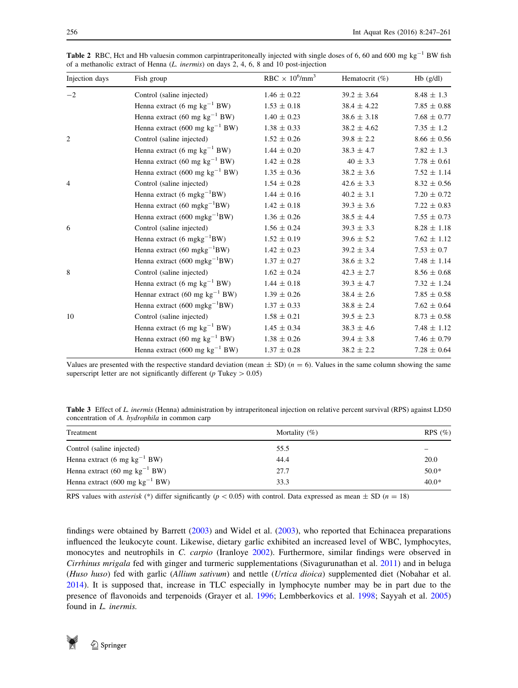| Injection days | Fish group                                | RBC $\times 10^6$ /mm <sup>3</sup> | Hematocrit $(\%)$ | $Hb$ (g/dl)       |
|----------------|-------------------------------------------|------------------------------------|-------------------|-------------------|
| $-2$           | Control (saline injected)                 | $1.46 \pm 0.22$                    | $39.2 \pm 3.64$   | $8.48 \pm 1.3$    |
|                | Henna extract (6 mg $kg^{-1}$ BW)         | $1.53 \pm 0.18$                    | $38.4 \pm 4.22$   | $7.85 \pm 0.88$   |
|                | Henna extract (60 mg $kg^{-1}$ BW)        | $1.40 \pm 0.23$                    | $38.6 \pm 3.18$   | $7.68 \pm 0.77$   |
|                | Henna extract (600 mg $kg^{-1}$ BW)       | $1.38 \pm 0.33$                    | $38.2 \pm 4.62$   | $7.35 \pm 1.2$    |
| 2              | Control (saline injected)                 | $1.52 \pm 0.26$                    | $39.8 \pm 2.2$    | $8.66\,\pm\,0.56$ |
|                | Henna extract (6 mg $kg^{-1}$ BW)         | $1.44 \pm 0.20$                    | $38.3 \pm 4.7$    | $7.82 \pm 1.3$    |
|                | Henna extract (60 mg $kg^{-1}$ BW)        | $1.42 \pm 0.28$                    | $40 \pm 3.3$      | $7.78 \pm 0.61$   |
|                | Henna extract (600 mg $kg^{-1}$ BW)       | $1.35 \pm 0.36$                    | $38.2 \pm 3.6$    | $7.52 \pm 1.14$   |
| $\overline{4}$ | Control (saline injected)                 | $1.54 \pm 0.28$                    | $42.6 \pm 3.3$    | $8.32 \pm 0.56$   |
|                | Henna extract (6 mgkg <sup>-1</sup> BW)   | $1.44 \pm 0.16$                    | $40.2 \pm 3.1$    | $7.20 \pm 0.72$   |
|                | Henna extract $(60 \text{ mgkg}^{-1}BW)$  | $1.42 \pm 0.18$                    | $39.3 \pm 3.6$    | $7.22 \pm 0.83$   |
|                | Henna extract $(600 \text{ mgkg}^{-1}BW)$ | $1.36 \pm 0.26$                    | $38.5 \pm 4.4$    | $7.55 \pm 0.73$   |
| 6              | Control (saline injected)                 | $1.56 \pm 0.24$                    | $39.3 \pm 3.3$    | $8.28 \pm 1.18$   |
|                | Henna extract $(6 \text{ mgkg}^{-1}BW)$   | $1.52 \pm 0.19$                    | $39.6 \pm 5.2$    | $7.62 \pm 1.12$   |
|                | Henna extract $(60 \text{ mgkg}^{-1}BW)$  | $1.42 \pm 0.23$                    | $39.2 \pm 3.4$    | $7.53 \pm 0.7$    |
|                | Henna extract $(600 \text{ mgkg}^{-1}BW)$ | $1.37 \pm 0.27$                    | $38.6 \pm 3.2$    | $7.48 \pm 1.14$   |
| 8              | Control (saline injected)                 | $1.62 \pm 0.24$                    | $42.3 \pm 2.7$    | $8.56 \pm 0.68$   |
|                | Henna extract (6 mg $kg^{-1}$ BW)         | $1.44 \pm 0.18$                    | $39.3 \pm 4.7$    | $7.32 \pm 1.24$   |
|                | Hennar extract (60 mg $kg^{-1}$ BW)       | $1.39 \pm 0.26$                    | $38.4 \pm 2.6$    | $7.85 \pm 0.58$   |
|                | Henna extract $(600 \text{ mgkg}^{-1}BW)$ | $1.37 \pm 0.33$                    | $38.8 \pm 2.4$    | $7.62 \pm 0.64$   |
| 10             | Control (saline injected)                 | $1.58 \pm 0.21$                    | $39.5 \pm 2.3$    | $8.73 \pm 0.58$   |
|                | Henna extract (6 mg $kg^{-1}$ BW)         | $1.45 \pm 0.34$                    | $38.3 \pm 4.6$    | $7.48 \pm 1.12$   |
|                | Henna extract (60 mg $kg^{-1}$ BW)        | $1.38 \pm 0.26$                    | $39.4 \pm 3.8$    | $7.46 \pm 0.79$   |
|                | Henna extract (600 mg $kg^{-1}$ BW)       | $1.37 \pm 0.28$                    | $38.2 \pm 2.2$    | $7.28 \pm 0.64$   |

<span id="page-9-0"></span>**Table 2** RBC, Hct and Hb valuesin common carpintraperitoneally injected with single doses of 6, 60 and 600 mg  $kg^{-1}$  BW fish of a methanolic extract of Henna (L. inermis) on days 2, 4, 6, 8 and 10 post-injection

Values are presented with the respective standard deviation (mean  $\pm$  SD) ( $n = 6$ ). Values in the same column showing the same superscript letter are not significantly different ( $p$  Tukey  $> 0.05$ )

Table 3 Effect of L. inermis (Henna) administration by intraperitoneal injection on relative percent survival (RPS) against LD50 concentration of A. hydrophila in common carp

| Treatment                                | Mortality $(\%)$ | $RPS(\%)$ |
|------------------------------------------|------------------|-----------|
| Control (saline injected)                | 55.5             |           |
| Henna extract (6 mg kg <sup>-1</sup> BW) | 44.4             | 20.0      |
| Henna extract (60 mg $kg^{-1}$ BW)       | 27.7             | $50.0*$   |
| Henna extract (600 mg $kg^{-1}$ BW)      | 33.3             | $40.0*$   |

RPS values with *asterisk* (\*) differ significantly ( $p < 0.05$ ) with control. Data expressed as mean  $\pm$  SD (n = 18)

findings were obtained by Barrett [\(2003](#page-11-0)) and Widel et al. ([2003\)](#page-14-0), who reported that Echinacea preparations influenced the leukocyte count. Likewise, dietary garlic exhibited an increased level of WBC, lymphocytes, monocytes and neutrophils in C. carpio (Iranloye [2002](#page-12-0)). Furthermore, similar findings were observed in Cirrhinus mrigala fed with ginger and turmeric supplementations (Sivagurunathan et al. [2011\)](#page-13-0) and in beluga (Huso huso) fed with garlic (Allium sativum) and nettle (Urtica dioica) supplemented diet (Nobahar et al. [2014](#page-13-0)). It is supposed that, increase in TLC especially in lymphocyte number may be in part due to the presence of flavonoids and terpenoids (Grayer et al. [1996;](#page-12-0) Lembberkovics et al. [1998;](#page-12-0) Sayyah et al. [2005](#page-13-0)) found in L. inermis.

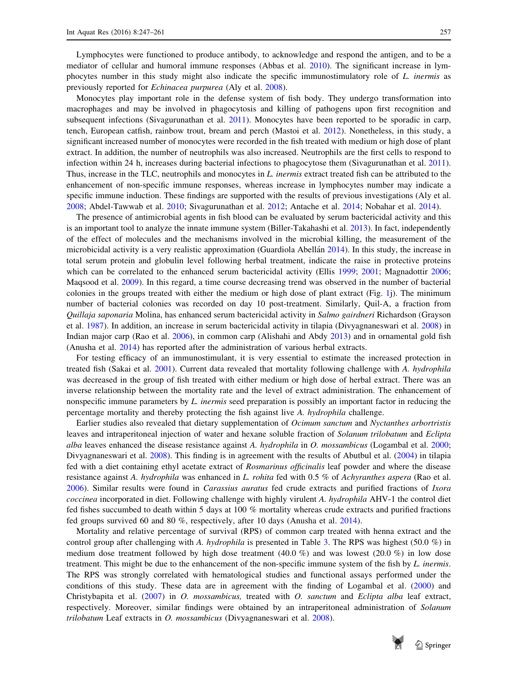Lymphocytes were functioned to produce antibody, to acknowledge and respond the antigen, and to be a mediator of cellular and humoral immune responses (Abbas et al. [2010\)](#page-11-0). The significant increase in lymphocytes number in this study might also indicate the specific immunostimulatory role of L. inermis as previously reported for Echinacea purpurea (Aly et al. [2008](#page-11-0)).

Monocytes play important role in the defense system of fish body. They undergo transformation into macrophages and may be involved in phagocytosis and killing of pathogens upon first recognition and subsequent infections (Sivagurunathan et al. [2011](#page-13-0)). Monocytes have been reported to be sporadic in carp, tench, European catfish, rainbow trout, bream and perch (Mastoi et al. [2012](#page-12-0)). Nonetheless, in this study, a significant increased number of monocytes were recorded in the fish treated with medium or high dose of plant extract. In addition, the number of neutrophils was also increased. Neutrophils are the first cells to respond to infection within 24 h, increases during bacterial infections to phagocytose them (Sivagurunathan et al. [2011\)](#page-13-0). Thus, increase in the TLC, neutrophils and monocytes in L. inermis extract treated fish can be attributed to the enhancement of non-specific immune responses, whereas increase in lymphocytes number may indicate a specific immune induction. These findings are supported with the results of previous investigations (Aly et al. [2008](#page-11-0); Abdel-Tawwab et al. [2010;](#page-11-0) Sivagurunathan et al. [2012;](#page-13-0) Antache et al. [2014](#page-11-0); Nobahar et al. [2014\)](#page-13-0).

The presence of antimicrobial agents in fish blood can be evaluated by serum bactericidal activity and this is an important tool to analyze the innate immune system (Biller-Takahashi et al. [2013\)](#page-11-0). In fact, independently of the effect of molecules and the mechanisms involved in the microbial killing, the measurement of the microbicidal activity is a very realistic approximation (Guardiola Abellan [2014\)](#page-12-0). In this study, the increase in total serum protein and globulin level following herbal treatment, indicate the raise in protective proteins which can be correlated to the enhanced serum bactericidal activity (Ellis [1999](#page-12-0); [2001;](#page-12-0) Magnadottir [2006;](#page-12-0) Maqsood et al. [2009\)](#page-12-0). In this regard, a time course decreasing trend was observed in the number of bacterial colonies in the groups treated with either the medium or high dose of plant extract (Fig. [1j](#page-5-0)). The minimum number of bacterial colonies was recorded on day 10 post-treatment. Similarly, Quil-A, a fraction from Quillaja saponaria Molina, has enhanced serum bactericidal activity in Salmo gairdneri Richardson (Grayson et al. [1987](#page-12-0)). In addition, an increase in serum bactericidal activity in tilapia (Divyagnaneswari et al. [2008\)](#page-12-0) in Indian major carp (Rao et al. [2006](#page-13-0)), in common carp (Alishahi and Abdy [2013](#page-11-0)) and in ornamental gold fish (Anusha et al. [2014](#page-11-0)) has reported after the administration of various herbal extracts.

For testing efficacy of an immunostimulant, it is very essential to estimate the increased protection in treated fish (Sakai et al. [2001\)](#page-13-0). Current data revealed that mortality following challenge with A. hydrophila was decreased in the group of fish treated with either medium or high dose of herbal extract. There was an inverse relationship between the mortality rate and the level of extract administration. The enhancement of nonspecific immune parameters by L. inermis seed preparation is possibly an important factor in reducing the percentage mortality and thereby protecting the fish against live A. hydrophila challenge.

Earlier studies also revealed that dietary supplementation of Ocimum sanctum and Nyctanthes arbortristis leaves and intraperitoneal injection of water and hexane soluble fraction of Solanum trilobatum and Eclipta alba leaves enhanced the disease resistance against A. hydrophila in O. mossambicus (Logambal et al. [2000;](#page-12-0) Divyagnaneswari et al. [2008](#page-12-0)). This finding is in agreement with the results of Abutbul et al. ([2004\)](#page-11-0) in tilapia fed with a diet containing ethyl acetate extract of Rosmarinus officinalis leaf powder and where the disease resistance against A. hydrophila was enhanced in L. rohita fed with 0.5 % of Achyranthes aspera (Rao et al. [2006](#page-13-0)). Similar results were found in Carassius auratus fed crude extracts and purified fractions of Ixora coccinea incorporated in diet. Following challenge with highly virulent A. hydrophila AHV-1 the control diet fed fishes succumbed to death within 5 days at 100 % mortality whereas crude extracts and purified fractions fed groups survived 60 and 80 %, respectively, after 10 days (Anusha et al. [2014\)](#page-11-0).

Mortality and relative percentage of survival (RPS) of common carp treated with henna extract and the control group after challenging with A. *hydrophila* is presented in Table [3](#page-9-0). The RPS was highest (50.0  $\%$ ) in medium dose treatment followed by high dose treatment  $(40.0\%)$  and was lowest  $(20.0\%)$  in low dose treatment. This might be due to the enhancement of the non-specific immune system of the fish by L. inermis. The RPS was strongly correlated with hematological studies and functional assays performed under the conditions of this study. These data are in agreement with the finding of Logambal et al. ([2000\)](#page-12-0) and Christybapita et al. [\(2007](#page-12-0)) in O. mossambicus, treated with O. sanctum and Eclipta alba leaf extract, respectively. Moreover, similar findings were obtained by an intraperitoneal administration of Solanum trilobatum Leaf extracts in O. mossambicus (Divyagnaneswari et al. [2008](#page-12-0)).

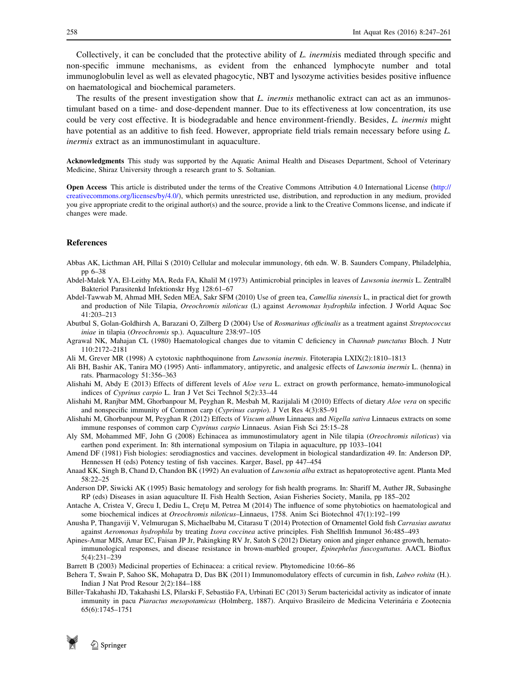<span id="page-11-0"></span>Collectively, it can be concluded that the protective ability of L. inermisis mediated through specific and non-specific immune mechanisms, as evident from the enhanced lymphocyte number and total immunoglobulin level as well as elevated phagocytic, NBT and lysozyme activities besides positive influence on haematological and biochemical parameters.

The results of the present investigation show that L. *inermis* methanolic extract can act as an immunostimulant based on a time- and dose-dependent manner. Due to its effectiveness at low concentration, its use could be very cost effective. It is biodegradable and hence environment-friendly. Besides, L. inermis might have potential as an additive to fish feed. However, appropriate field trials remain necessary before using L. inermis extract as an immunostimulant in aquaculture.

Acknowledgments This study was supported by the Aquatic Animal Health and Diseases Department, School of Veterinary Medicine, Shiraz University through a research grant to S. Soltanian.

Open Access This article is distributed under the terms of the Creative Commons Attribution 4.0 International License [\(http://](http://creativecommons.org/licenses/by/4.0/) [creativecommons.org/licenses/by/4.0/](http://creativecommons.org/licenses/by/4.0/)), which permits unrestricted use, distribution, and reproduction in any medium, provided you give appropriate credit to the original author(s) and the source, provide a link to the Creative Commons license, and indicate if changes were made.

### References

- Abbas AK, Licthman AH, Pillai S (2010) Cellular and molecular immunology, 6th edn. W. B. Saunders Company, Philadelphia, pp 6–38
- Abdel-Malek YA, El-Leithy MA, Reda FA, Khalil M (1973) Antimicrobial principles in leaves of Lawsonia inermis L. Zentralbl Bakteriol Parasitenkd Infektionskr Hyg 128:61–67
- Abdel-Tawwab M, Ahmad MH, Seden MEA, Sakr SFM (2010) Use of green tea, Camellia sinensis L, in practical diet for growth and production of Nile Tilapia, Oreochromis niloticus (L) against Aeromonas hydrophila infection. J World Aquac Soc 41:203–213
- Abutbul S, Golan-Goldhirsh A, Barazani O, Zilberg D (2004) Use of Rosmarinus officinalis as a treatment against Streptococcus iniae in tilapia (Oreochromis sp.). Aquaculture 238:97–105
- Agrawal NK, Mahajan CL (1980) Haematological changes due to vitamin C deficiency in Channab punctatus Bloch. J Nutr 110:2172–2181
- Ali M, Grever MR (1998) A cytotoxic naphthoquinone from Lawsonia inermis. Fitoterapia LXIX(2):1810–1813
- Ali BH, Bashir AK, Tanira MO (1995) Anti- inflammatory, antipyretic, and analgesic effects of Lawsonia inermis L. (henna) in rats. Pharmacology 51:356–363
- Alishahi M, Abdy E (2013) Effects of different levels of Aloe vera L. extract on growth performance, hemato-immunological indices of Cyprinus carpio L. Iran J Vet Sci Technol 5(2):33–44
- Alishahi M, Ranjbar MM, Ghorbanpour M, Peyghan R, Mesbah M, Razijalali M (2010) Effects of dietary Aloe vera on specific and nonspecific immunity of Common carp (Cyprinus carpio). J Vet Res 4(3):85–91
- Alishahi M, Ghorbanpour M, Peyghan R (2012) Effects of Viscum album Linnaeus and Nigella sativa Linnaeus extracts on some immune responses of common carp Cyprinus carpio Linnaeus. Asian Fish Sci 25:15–28
- Aly SM, Mohammed MF, John G (2008) Echinacea as immunostimulatory agent in Nile tilapia (Oreochromis niloticus) via earthen pond experiment. In: 8th international symposium on Tilapia in aquaculture, pp 1033–1041
- Amend DF (1981) Fish biologies: serodiagnostics and vaccines. development in biological standardization 49. In: Anderson DP, Hennessen H (eds) Potency testing of fish vaccines. Karger, Basel, pp 447–454
- Anaad KK, Singh B, Chand D, Chandon BK (1992) An evaluation of Lawsonia alba extract as hepatoprotective agent. Planta Med 58:22–25
- Anderson DP, Siwicki AK (1995) Basic hematology and serology for fish health programs. In: Shariff M, Auther JR, Subasinghe RP (eds) Diseases in asian aquaculture II. Fish Health Section, Asian Fisheries Society, Manila, pp 185–202
- Antache A, Cristea V, Grecu I, Dediu L, Cretu M, Petrea M (2014) The influence of some phytobiotics on haematological and some biochemical indices at Oreochromis niloticus–Linnaeus, 1758. Anim Sci Biotechnol 47(1):192–199
- Anusha P, Thangaviji V, Velmurugan S, Michaelbabu M, Citarasu T (2014) Protection of Ornamentel Gold fish Carrasius auratus against Aeromonas hydrophila by treating Ixora coccinea active principles. Fish Shellfish Immunol 36:485–493
- Apines-Amar MJS, Amar EC, Faisan JP Jr, Pakingking RV Jr, Satoh S (2012) Dietary onion and ginger enhance growth, hematoimmunological responses, and disease resistance in brown-marbled grouper, Epinephelus fuscoguttatus. AACL Bioflux 5(4):231–239
- Barrett B (2003) Medicinal properties of Echinacea: a critical review. Phytomedicine 10:66–86
- Behera T, Swain P, Sahoo SK, Mohapatra D, Das BK (2011) Immunomodulatory effects of curcumin in fish, Labeo rohita (H.). Indian J Nat Prod Resour 2(2):184–188
- Biller-Takahashi JD, Takahashi LS, Pilarski F, Sebastião FA, Urbinati EC (2013) Serum bactericidal activity as indicator of innate immunity in pacu Piaractus mesopotamicus (Holmberg, 1887). Arquivo Brasileiro de Medicina Veterinária e Zootecnia 65(6):1745–1751

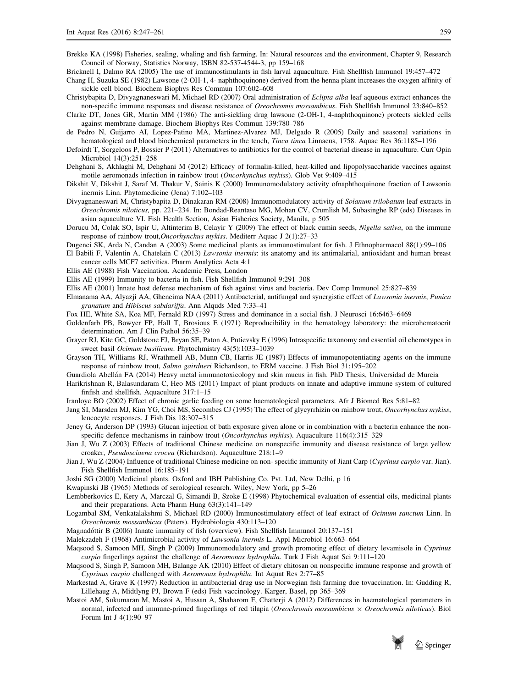- <span id="page-12-0"></span>Brekke KA (1998) Fisheries, sealing, whaling and fish farming. In: Natural resources and the environment, Chapter 9, Research Council of Norway, Statistics Norway, ISBN 82-537-4544-3, pp 159–168
- Bricknell I, Dalmo RA (2005) The use of immunostimulants in fish larval aquaculture. Fish Shellfish Immunol 19:457–472
- Chang H, Suzuka SE (1982) Lawsone (2-OH-1, 4- naphthoquinone) derived from the henna plant increases the oxygen affinity of sickle cell blood. Biochem Biophys Res Commun 107:602–608
- Christybapita D, Divyagnaneswari M, Michael RD (2007) Oral administration of Eclipta alba leaf aqueous extract enhances the non-specific immune responses and disease resistance of Oreochromis mossambicus. Fish Shellfish Immunol 23:840–852
- Clarke DT, Jones GR, Martin MM (1986) The anti-sickling drug lawsone (2-OH-1, 4-naphthoquinone) protects sickled cells against membrane damage. Biochem Biophys Res Commun 139:780–786
- de Pedro N, Guijarro AI, Lopez-Patino MA, Martinez-Alvarez MJ, Delgado R (2005) Daily and seasonal variations in hematological and blood biochemical parameters in the tench, *Tinca tinca Linnaeus*, 1758. Aquac Res 36:1185–1196
- Defoirdt T, Sorgeloos P, Bossier P (2011) Alternatives to antibiotics for the control of bacterial disease in aquaculture. Curr Opin Microbiol 14(3):251–258
- Dehghani S, Akhlaghi M, Dehghani M (2012) Efficacy of formalin-killed, heat-killed and lipopolysaccharide vaccines against motile aeromonads infection in rainbow trout (Oncorhynchus mykiss). Glob Vet 9:409-415
- Dikshit V, Dikshit J, Saraf M, Thakur V, Sainis K (2000) Immunomodulatory activity ofnaphthoquinone fraction of Lawsonia inermis Linn. Phytomedicine (Jena) 7:102–103
- Divyagnaneswari M, Christybapita D, Dinakaran RM (2008) Immunomodulatory activity of Solanum trilobatum leaf extracts in Oreochromis niloticus, pp. 221–234. In: Bondad-Reantaso MG, Mohan CV, Crumlish M, Subasinghe RP (eds) Diseases in asian aquaculture VI. Fish Health Section, Asian Fisheries Society, Manila, p 505
- Dorucu M, Colak SO, Ispir U, Altinterim B, Celayir Y (2009) The effect of black cumin seeds, Nigella sativa, on the immune response of rainbow trout,Oncorhynchus mykiss. Mediterr Aquac J 2(1):27–33
- Dugenci SK, Arda N, Candan A (2003) Some medicinal plants as immunostimulant for fish. J Ethnopharmacol 88(1):99–106
- El Babili F, Valentin A, Chatelain C (2013) Lawsonia inermis: its anatomy and its antimalarial, antioxidant and human breast cancer cells MCF7 activities. Pharm Analytica Acta 4:1
- Ellis AE (1988) Fish Vaccination. Academic Press, London
- Ellis AE (1999) Immunity to bacteria in fish. Fish Shellfish Immunol 9:291–308
- Ellis AE (2001) Innate host defense mechanism of fish against virus and bacteria. Dev Comp Immunol 25:827–839
- Elmanama AA, Alyazji AA, Gheneima NAA (2011) Antibacterial, antifungal and synergistic effect of Lawsonia inermis, Punica granatum and Hibiscus sabdariffa. Ann Alquds Med 7:33–41
- Fox HE, White SA, Koa MF, Fernald RD (1997) Stress and dominance in a social fish. J Neurosci 16:6463–6469
- Goldenfarb PB, Bowyer FP, Hall T, Brosious E (1971) Reproducibility in the hematology laboratory: the microhematocrit determination. Am J Clin Pathol 56:35–39
- Grayer RJ, Kite GC, Goldstone FJ, Bryan SE, Paton A, Putievsky E (1996) Intraspecific taxonomy and essential oil chemotypes in sweet basil Ocimum basilicum. Phytochmistry 43(5):1033–1039
- Grayson TH, Williams RJ, Wrathmell AB, Munn CB, Harris JE (1987) Effects of immunopotentiating agents on the immune response of rainbow trout, Salmo gairdneri Richardson, to ERM vaccine. J Fish Biol 31:195–202
- Guardiola Abella´n FA (2014) Heavy metal immunotoxicology and skin mucus in fish. PhD Thesis, Universidad de Murcia
- Harikrishnan R, Balasundaram C, Heo MS (2011) Impact of plant products on innate and adaptive immune system of cultured finfish and shellfish. Aquaculture 317:1–15
- Iranloye BO (2002) Effect of chronic garlic feeding on some haematological parameters. Afr J Biomed Res 5:81–82
- Jang SI, Marsden MJ, Kim YG, Choi MS, Secombes CJ (1995) The effect of glycyrrhizin on rainbow trout, Oncorhynchus mykiss, leucocyte responses. J Fish Dis 18:307–315
- Jeney G, Anderson DP (1993) Glucan injection of bath exposure given alone or in combination with a bacterin enhance the nonspecific defence mechanisms in rainbow trout (*Oncorhynchus mykiss*). Aquaculture 116(4):315–329
- Jian J, Wu Z (2003) Effects of traditional Chinese medicine on nonspecific immunity and disease resistance of large yellow croaker, Pseudosciaena crocea (Richardson). Aquaculture 218:1–9
- Jian J, Wu Z (2004) Influence of traditional Chinese medicine on non- specific immunity of Jiant Carp (Cyprinus carpio var. Jian). Fish Shellfish Immunol 16:185–191
- Joshi SG (2000) Medicinal plants. Oxford and IBH Publishing Co. Pvt. Ltd, New Delhi, p 16
- Kwapinski JB (1965) Methods of serological research. Wiley, New York, pp 5–26
- Lembberkovics E, Kery A, Marczal G, Simandi B, Szoke E (1998) Phytochemical evaluation of essential oils, medicinal plants and their preparations. Acta Pharm Hung 63(3):141–149
- Logambal SM, Venkatalakshmi S, Michael RD (2000) Immunostimulatory effect of leaf extract of Ocimum sanctum Linn. In Oreochromis mossambicus (Peters). Hydrobiologia 430:113–120
- Magnadóttir B (2006) Innate immunity of fish (overview). Fish Shellfish Immunol 20:137–151

Malekzadeh F (1968) Antimicrobial activity of Lawsonia inermis L. Appl Microbiol 16:663–664

- Maqsood S, Samoon MH, Singh P (2009) Immunomodulatory and growth promoting effect of dietary levamisole in Cyprinus carpio fingerlings against the challenge of Aeromonas hydrophila. Turk J Fish Aquat Sci 9:111–120
- Maqsood S, Singh P, Samoon MH, Balange AK (2010) Effect of dietary chitosan on nonspecific immune response and growth of Cyprinus carpio challenged with Aeromonas hydrophila. Int Aquat Res 2:77–85
- Markestad A, Grave K (1997) Reduction in antibacterial drug use in Norwegian fish farming due tovaccination. In: Gudding R, Lillehaug A, Midtlyng PJ, Brown F (eds) Fish vaccinology. Karger, Basel, pp 365–369
- Mastoi AM, Sukumaran M, Mastoi A, Hussan A, Shaharom F, Chatterji A (2012) Differences in haematological parameters in normal, infected and immune-primed fingerlings of red tilapia (Oreochromis mossambicus  $\times$  Oreochromis niloticus). Biol Forum Int J 4(1):90–97

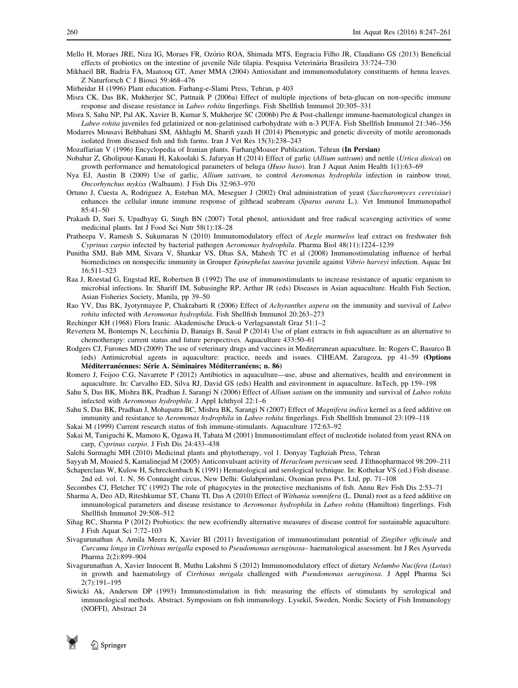- <span id="page-13-0"></span>Mello H, Moraes JRE, Niza IG, Moraes FR, Ozório ROA, Shimada MTS, Engracia Filho JR, Claudiano GS (2013) Beneficial effects of probiotics on the intestine of juvenile Nile tilapia. Pesquisa Veterinária Brasileira 33:724–730
- Mikhaeil BR, Badria FA, Maatooq GT, Amer MMA (2004) Antioxidant and immunomodulatory constituents of henna leaves. Z Naturforsch C J Biosci 59:468–476
- Mirheidar H (1996) Plant education. Farhang-e-Slami Press, Tehran, p 403
- Misra CK, Das BK, Mukherjee SC, Pattnaik P (2006a) Effect of multiple injections of beta-glucan on non-specific immune response and disease resistance in Labeo rohita fingerlings. Fish Shellfish Immunol 20:305–331
- Misra S, Sahu NP, Pal AK, Xavier B, Kumar S, Mukherjee SC (2006b) Pre & Post-challenge immune-haematological changes in Labeo rohita juveniles fed gelatinized or non-gelatinised carbohydrate with n-3 PUFA. Fish Shellfish Immunol 21:346-356
- Modarres Mousavi Behbahani SM, Akhlaghi M, Sharifi yazdi H (2014) Phenotypic and genetic diversity of motile aeromonads isolated from diseased fish and fish farms. Iran J Vet Res 15(3):238–243
- Mozaffarian V (1996) Encyclopedia of Iranian plants. FarhangMoaser Publication, Tehran (In Persian)
- Nobahar Z, Gholipour-Kanani H, Kakoolaki S, Jafaryan H (2014) Effect of garlic (Allium sativum) and nettle (Urtica dioica) on growth performance and hematological parameters of beluga (Huso huso). Iran J Aquat Anim Health 1(1):63–69
- Nya EJ, Austin B (2009) Use of garlic, Allium sativum, to control Aeromonas hydrophila infection in rainbow trout, Oncorhynchus mykiss (Walbaum). J Fish Dis 32:963–970
- Ortuno J, Cuesta A, Rodriguez A, Esteban MA, Meseguer J (2002) Oral administration of yeast (Saccharomyces cerevisiae) enhances the cellular innate immune response of gilthead seabream (Sparus aurata L.). Vet Immunol Immunopathol 85:41–50
- Prakash D, Suri S, Upadhyay G, Singh BN (2007) Total phenol, antioxidant and free radical scavenging activities of some medicinal plants. Int J Food Sci Nutr 58(1):18–28
- Pratheepa V, Ramesh S, Sukumaran N (2010) Immunomodulatory effect of Aegle marmelos leaf extract on freshwater fish Cyprinus carpio infected by bacterial pathogen Aeromonas hydrophila. Pharma Biol 48(11):1224–1239
- Punitha SMJ, Bab MM, Sivara V, Shankar VS, Dhas SA, Mahesh TC et al (2008) Immunostimulating influence of herbal biomedicines on nonspecific immunity in Grouper Epinephelus tauvina juvenile against Vibrio harveyi infection. Aquac Int 16:511–523
- Raa J, Roestad G, Engstad RE, Robertsen B (1992) The use of immunostimulants to increase resistance of aquatic organism to microbial infections. In: Shariff IM, Subasinghe RP, Arthur JR (eds) Diseases in Asian aquaculture. Health Fish Section, Asian Fisheries Society, Manila, pp 39–50
- Rao YV, Das BK, Jyotyrmayee P, Chakrabarti R (2006) Effect of Achyranthes aspera on the immunity and survival of Labeo rohita infected with Aeromonas hydrophila. Fish Shellfish Immunol 20:263–273
- Rechinger KH (1968) Flora Iranic. Akademische Druck-u Verlagsanstalt Graz 51:1–2
- Revertera M, Bontemps N, Lecchinia D, Banaigs B, Sasal P (2014) Use of plant extracts in fish aquaculture as an alternative to chemotherapy: current status and future perspectives. Aquaculture 433:50–61
- Rodgers CJ, Furones MD (2009) The use of veterinary drugs and vaccines in Mediterranean aquaculture. In: Rogers C, Basurco B (eds) Antimicrobial agents in aquaculture: practice, needs and issues. CIHEAM, Zaragoza, pp 41–59 (Options Méditerranéennes: Série A. Séminaires Méditerranéens; n. 86)
- Romero J, Feijoo C.G, Navarrete P (2012) Antibiotics in aquaculture—use, abuse and alternatives, health and environment in aquaculture. In: Carvalho ED, Silva RJ, David GS (eds) Health and environment in aquaculture. InTech, pp 159–198
- Sahu S, Das BK, Mishra BK, Pradhan J, Sarangi N (2006) Effect of Allium satium on the immunity and survival of Labeo rohita infected with Aeromonas hydrophila. J Appl Ichthyol 22:1–6
- Sahu S, Das BK, Pradhan J, Mohapatra BC, Mishra BK, Sarangi N (2007) Effect of Magnifera indica kernel as a feed additive on immunity and resistance to Aeromonas hydrophila in Labeo rohita fingerlings. Fish Shellfish Immunol 23:109-118 Sakai M (1999) Current research status of fish immune-stimulants. Aquaculture 172:63–92
- Sakai M, Taniguchi K, Mamoto K, Ogawa H, Tabata M (2001) Immunostimulant effect of nucleotide isolated from yeast RNA on carp, Cyprinus carpio. J Fish Dis 24:433–438
- Salehi Surmaghi MH (2010) Medicinal plants and phytotherapy, vol 1. Donyay Taghziah Press, Tehran
- Sayyah M, Moaied S, Kamalinejad M (2005) Anticonvulsant activity of Heracleum persicum seed. J Ethnopharmacol 98:209–211
- Schaperclaus W, Kulow H, Schreckenbach K (1991) Hematological and serological technique. In: Kothekar VS (ed.) Fish disease. 2nd ed. vol. 1. N, 56 Connaught circus, New Delhi: Gulabprimlani, Oxonian press Pvt. Ltd, pp. 71–108
- Secombes CJ, Fletcher TC (1992) The role of phagocytes in the protective mechanisms of fish. Annu Rev Fish Dis 2:53–71
- Sharma A, Deo AD, Riteshkumar ST, Chanu TI, Das A (2010) Effect of Withania somnifera (L. Dunal) root as a feed additive on immunological parameters and disease resistance to Aeromonas hydrophila in Labeo rohita (Hamilton) fingerlings. Fish Shellfish Immunol 29:508–512
- Sihag RC, Sharma P (2012) Probiotics: the new ecofriendly alternative measures of disease control for sustainable aquaculture. J Fish Aquat Sci 7:72–103
- Sivagurunathan A, Amila Meera K, Xavier BI (2011) Investigation of immunostimulant potential of Zingiber officinale and Curcuma longa in Cirrhinus mrigalla exposed to Pseudomonas aeruginosa– haematological assessment. Int J Res Ayurveda Pharma 2(2):899–904
- Sivagurunathan A, Xavier Innocent B, Muthu Lakshmi S (2012) Immunomodulatory effect of dietary Nelumbo Nucifera (Lotus) in growth and haematology of Cirrhinus mrigala challenged with Pseudomonas aeruginosa. J Appl Pharma Sci 2(7):191–195
- Siwicki Ak, Anderson DP (1993) Immunostimulation in fish: measuring the effects of stimulants by serological and immunological methods. Abstract. Symposium on fish immunology. Lysekil, Sweden, Nordic Society of Fish Immunology (NOFFI), Abstract 24